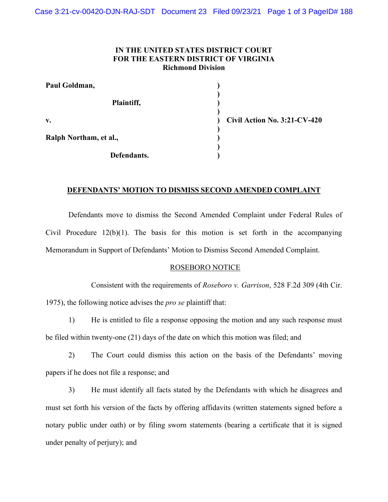## **IN THE UNITED STATES DISTRICT COURT FOR THE EASTERN DISTRICT OF VIRGINIA Richmond Division**

| Paul Goldman,          |    |
|------------------------|----|
| Plaintiff,             |    |
| $V_{\bullet}$          | Ci |
| Ralph Northam, et al., |    |
| Defendants.            |    |

**Civil Action No. 3:21-CV-420**

## **DEFENDANTS' MOTION TO DISMISS SECOND AMENDED COMPLAINT**

Defendants move to dismiss the Second Amended Complaint under Federal Rules of Civil Procedure  $12(b)(1)$ . The basis for this motion is set forth in the accompanying Memorandum in Support of Defendants' Motion to Dismiss Second Amended Complaint.

## ROSEBORO NOTICE

Consistent with the requirements of *Roseboro v. Garrison*, 528 F.2d 309 (4th Cir. 1975), the following notice advises the *pro se* plaintiff that:

1) He is entitled to file a response opposing the motion and any such response must be filed within twenty-one (21) days of the date on which this motion was filed; and

2) The Court could dismiss this action on the basis of the Defendants' moving papers if he does not file a response; and

3) He must identify all facts stated by the Defendants with which he disagrees and must set forth his version of the facts by offering affidavits (written statements signed before a notary public under oath) or by filing sworn statements (bearing a certificate that it is signed under penalty of perjury); and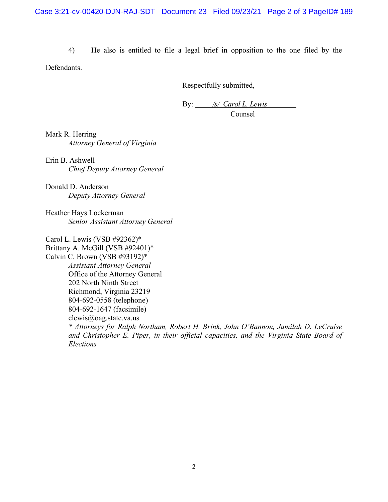4) He also is entitled to file a legal brief in opposition to the one filed by the

Defendants.

Respectfully submitted,

By: */s/ Carol L. Lewis* Counsel

Mark R. Herring *Attorney General of Virginia*

Erin B. Ashwell *Chief Deputy Attorney General*

Donald D. Anderson *Deputy Attorney General*

Heather Hays Lockerman *Senior Assistant Attorney General*

Carol L. Lewis (VSB #92362)\*

Brittany A. McGill (VSB #92401)\* Calvin C. Brown (VSB #93192)\* *Assistant Attorney General*  Office of the Attorney General 202 North Ninth Street Richmond, Virginia 23219 804-692-0558 (telephone) 804-692-1647 (facsimile) clewis@oag.state.va.us *\* Attorneys for Ralph Northam, Robert H. Brink, John O'Bannon, Jamilah D. LeCruise and Christopher E. Piper, in their official capacities, and the Virginia State Board of Elections*